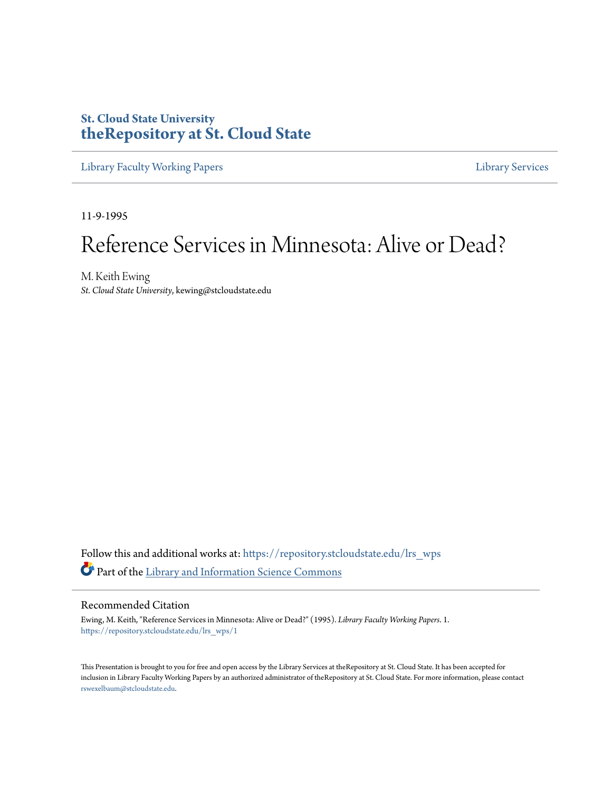### **St. Cloud State University [theRepository at St. Cloud State](https://repository.stcloudstate.edu?utm_source=repository.stcloudstate.edu%2Flrs_wps%2F1&utm_medium=PDF&utm_campaign=PDFCoverPages)**

[Library Faculty Working Papers](https://repository.stcloudstate.edu/lrs_wps?utm_source=repository.stcloudstate.edu%2Flrs_wps%2F1&utm_medium=PDF&utm_campaign=PDFCoverPages) [Library Services](https://repository.stcloudstate.edu/ls?utm_source=repository.stcloudstate.edu%2Flrs_wps%2F1&utm_medium=PDF&utm_campaign=PDFCoverPages)

11-9-1995

# Reference Services in Minnesota: Alive or Dead?

M. Keith Ewing *St. Cloud State University*, kewing@stcloudstate.edu

Follow this and additional works at: [https://repository.stcloudstate.edu/lrs\\_wps](https://repository.stcloudstate.edu/lrs_wps?utm_source=repository.stcloudstate.edu%2Flrs_wps%2F1&utm_medium=PDF&utm_campaign=PDFCoverPages) Part of the [Library and Information Science Commons](http://network.bepress.com/hgg/discipline/1018?utm_source=repository.stcloudstate.edu%2Flrs_wps%2F1&utm_medium=PDF&utm_campaign=PDFCoverPages)

#### Recommended Citation

Ewing, M. Keith, "Reference Services in Minnesota: Alive or Dead?" (1995). *Library Faculty Working Papers*. 1. [https://repository.stcloudstate.edu/lrs\\_wps/1](https://repository.stcloudstate.edu/lrs_wps/1?utm_source=repository.stcloudstate.edu%2Flrs_wps%2F1&utm_medium=PDF&utm_campaign=PDFCoverPages)

This Presentation is brought to you for free and open access by the Library Services at theRepository at St. Cloud State. It has been accepted for inclusion in Library Faculty Working Papers by an authorized administrator of theRepository at St. Cloud State. For more information, please contact [rswexelbaum@stcloudstate.edu](mailto:rswexelbaum@stcloudstate.edu).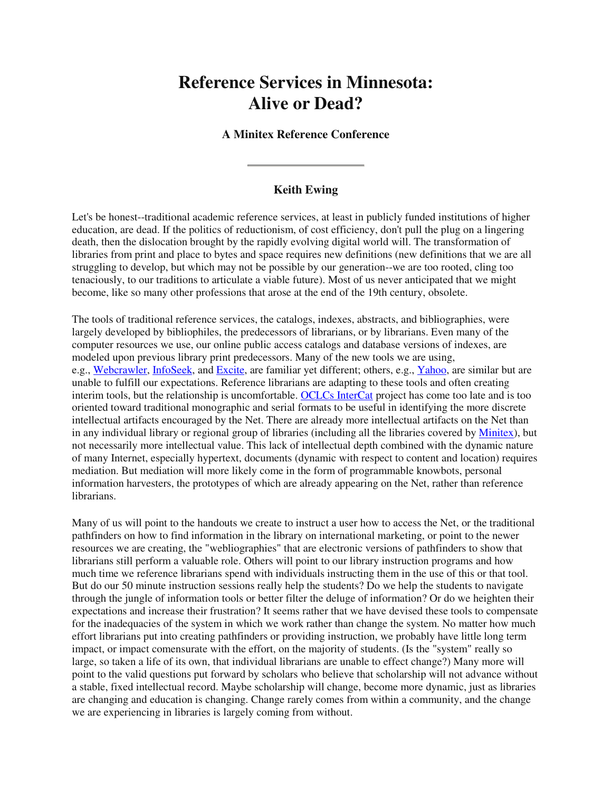## **Reference Services in Minnesota: Alive or Dead?**

### **A Minitex Reference Conference**

### **Keith Ewing**

Let's be honest--traditional academic reference services, at least in publicly funded institutions of higher education, are dead. If the politics of reductionism, of cost efficiency, don't pull the plug on a lingering death, then the dislocation brought by the rapidly evolving digital world will. The transformation of libraries from print and place to bytes and space requires new definitions (new definitions that we are all struggling to develop, but which may not be possible by our generation--we are too rooted, cling too tenaciously, to our traditions to articulate a viable future). Most of us never anticipated that we might become, like so many other professions that arose at the end of the 19th century, obsolete.

The tools of traditional reference services, the catalogs, indexes, abstracts, and bibliographies, were largely developed by bibliophiles, the predecessors of librarians, or by librarians. Even many of the computer resources we use, our online public access catalogs and database versions of indexes, are modeled upon previous library print predecessors. Many of the new tools we are using, e.g., Webcrawler, InfoSeek, and Excite, are familiar yet different; others, e.g., Yahoo, are similar but are unable to fulfill our expectations. Reference librarians are adapting to these tools and often creating interim tools, but the relationship is uncomfortable. OCLCs InterCat project has come too late and is too oriented toward traditional monographic and serial formats to be useful in identifying the more discrete intellectual artifacts encouraged by the Net. There are already more intellectual artifacts on the Net than in any individual library or regional group of libraries (including all the libraries covered by Minitex), but not necessarily more intellectual value. This lack of intellectual depth combined with the dynamic nature of many Internet, especially hypertext, documents (dynamic with respect to content and location) requires mediation. But mediation will more likely come in the form of programmable knowbots, personal information harvesters, the prototypes of which are already appearing on the Net, rather than reference librarians.

Many of us will point to the handouts we create to instruct a user how to access the Net, or the traditional pathfinders on how to find information in the library on international marketing, or point to the newer resources we are creating, the "webliographies" that are electronic versions of pathfinders to show that librarians still perform a valuable role. Others will point to our library instruction programs and how much time we reference librarians spend with individuals instructing them in the use of this or that tool. But do our 50 minute instruction sessions really help the students? Do we help the students to navigate through the jungle of information tools or better filter the deluge of information? Or do we heighten their expectations and increase their frustration? It seems rather that we have devised these tools to compensate for the inadequacies of the system in which we work rather than change the system. No matter how much effort librarians put into creating pathfinders or providing instruction, we probably have little long term impact, or impact comensurate with the effort, on the majority of students. (Is the "system" really so large, so taken a life of its own, that individual librarians are unable to effect change?) Many more will point to the valid questions put forward by scholars who believe that scholarship will not advance without a stable, fixed intellectual record. Maybe scholarship will change, become more dynamic, just as libraries are changing and education is changing. Change rarely comes from within a community, and the change we are experiencing in libraries is largely coming from without.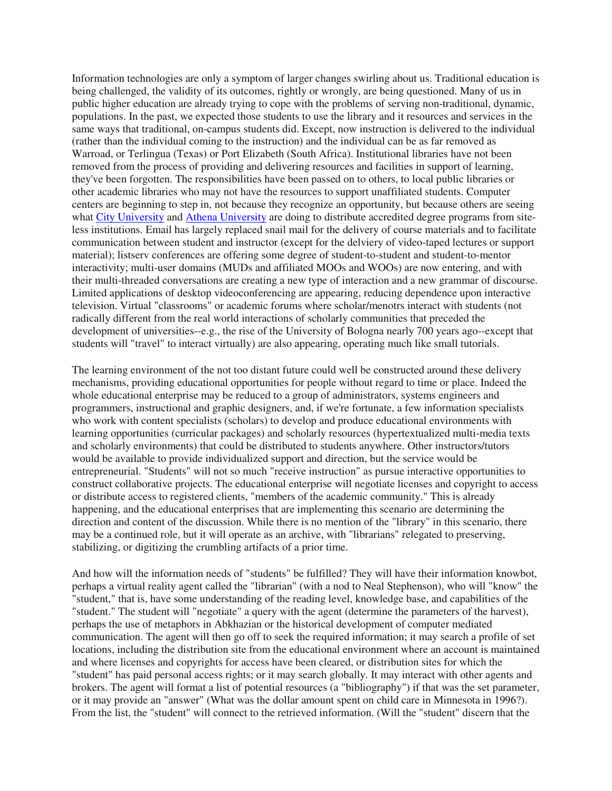Information technologies are only a symptom of larger changes swirling about us. Traditional education is being challenged, the validity of its outcomes, rightly or wrongly, are being questioned. Many of us in public higher education are already trying to cope with the problems of serving non-traditional, dynamic, populations. In the past, we expected those students to use the library and it resources and services in the same ways that traditional, on-campus students did. Except, now instruction is delivered to the individual (rather than the individual coming to the instruction) and the individual can be as far removed as Warroad, or Terlingua (Texas) or Port Elizabeth (South Africa). Institutional libraries have not been removed from the process of providing and delivering resources and facilities in support of learning, they've been forgotten. The responsibilities have been passed on to others, to local public libraries or other academic libraries who may not have the resources to support unaffiliated students. Computer centers are beginning to step in, not because they recognize an opportunity, but because others are seeing what City University and Athena University are doing to distribute accredited degree programs from siteless institutions. Email has largely replaced snail mail for the delivery of course materials and to facilitate communication between student and instructor (except for the delviery of video-taped lectures or support material); listserv conferences are offering some degree of student-to-student and student-to-mentor interactivity; multi-user domains (MUDs and affiliated MOOs and WOOs) are now entering, and with their multi-threaded conversations are creating a new type of interaction and a new grammar of discourse. Limited applications of desktop videoconferencing are appearing, reducing dependence upon interactive television. Virtual "classrooms" or academic forums where scholar/menotrs interact with students (not radically different from the real world interactions of scholarly communities that preceded the development of universities--e.g., the rise of the University of Bologna nearly 700 years ago--except that students will "travel" to interact virtually) are also appearing, operating much like small tutorials.

The learning environment of the not too distant future could well be constructed around these delivery mechanisms, providing educational opportunities for people without regard to time or place. Indeed the whole educational enterprise may be reduced to a group of administrators, systems engineers and programmers, instructional and graphic designers, and, if we're fortunate, a few information specialists who work with content specialists (scholars) to develop and produce educational environments with learning opportunities (curricular packages) and scholarly resources (hypertextualized multi-media texts and scholarly environments) that could be distributed to students anywhere. Other instructors/tutors would be available to provide individualized support and direction, but the service would be entrepreneurial. "Students" will not so much "receive instruction" as pursue interactive opportunities to construct collaborative projects. The educational enterprise will negotiate licenses and copyright to access or distribute access to registered clients, "members of the academic community." This is already happening, and the educational enterprises that are implementing this scenario are determining the direction and content of the discussion. While there is no mention of the "library" in this scenario, there may be a continued role, but it will operate as an archive, with "librarians" relegated to preserving, stabilizing, or digitizing the crumbling artifacts of a prior time.

And how will the information needs of "students" be fulfilled? They will have their information knowbot, perhaps a virtual reality agent called the "librarian" (with a nod to Neal Stephenson), who will "know" the "student," that is, have some understanding of the reading level, knowledge base, and capabilities of the "student." The student will "negotiate" a query with the agent (determine the parameters of the harvest), perhaps the use of metaphors in Abkhazian or the historical development of computer mediated communication. The agent will then go off to seek the required information; it may search a profile of set locations, including the distribution site from the educational environment where an account is maintained and where licenses and copyrights for access have been cleared, or distribution sites for which the "student" has paid personal access rights; or it may search globally. It may interact with other agents and brokers. The agent will format a list of potential resources (a "bibliography") if that was the set parameter, or it may provide an "answer" (What was the dollar amount spent on child care in Minnesota in 1996?). From the list, the "student" will connect to the retrieved information. (Will the "student" discern that the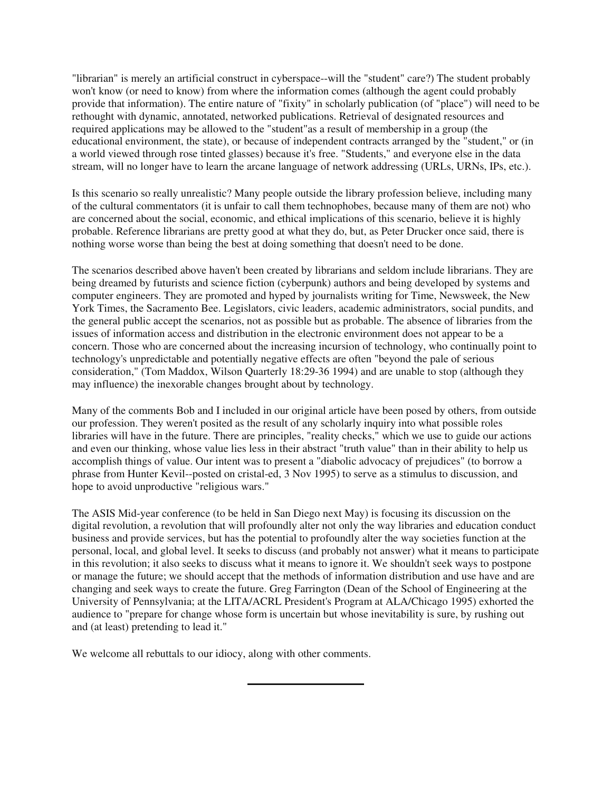"librarian" is merely an artificial construct in cyberspace--will the "student" care?) The student probably won't know (or need to know) from where the information comes (although the agent could probably provide that information). The entire nature of "fixity" in scholarly publication (of "place") will need to be rethought with dynamic, annotated, networked publications. Retrieval of designated resources and required applications may be allowed to the "student"as a result of membership in a group (the educational environment, the state), or because of independent contracts arranged by the "student," or (in a world viewed through rose tinted glasses) because it's free. "Students," and everyone else in the data stream, will no longer have to learn the arcane language of network addressing (URLs, URNs, IPs, etc.).

Is this scenario so really unrealistic? Many people outside the library profession believe, including many of the cultural commentators (it is unfair to call them technophobes, because many of them are not) who are concerned about the social, economic, and ethical implications of this scenario, believe it is highly probable. Reference librarians are pretty good at what they do, but, as Peter Drucker once said, there is nothing worse worse than being the best at doing something that doesn't need to be done.

The scenarios described above haven't been created by librarians and seldom include librarians. They are being dreamed by futurists and science fiction (cyberpunk) authors and being developed by systems and computer engineers. They are promoted and hyped by journalists writing for Time, Newsweek, the New York Times, the Sacramento Bee. Legislators, civic leaders, academic administrators, social pundits, and the general public accept the scenarios, not as possible but as probable. The absence of libraries from the issues of information access and distribution in the electronic environment does not appear to be a concern. Those who are concerned about the increasing incursion of technology, who continually point to technology's unpredictable and potentially negative effects are often "beyond the pale of serious consideration," (Tom Maddox, Wilson Quarterly 18:29-36 1994) and are unable to stop (although they may influence) the inexorable changes brought about by technology.

Many of the comments Bob and I included in our original article have been posed by others, from outside our profession. They weren't posited as the result of any scholarly inquiry into what possible roles libraries will have in the future. There are principles, "reality checks," which we use to guide our actions and even our thinking, whose value lies less in their abstract "truth value" than in their ability to help us accomplish things of value. Our intent was to present a "diabolic advocacy of prejudices" (to borrow a phrase from Hunter Kevil--posted on cristal-ed, 3 Nov 1995) to serve as a stimulus to discussion, and hope to avoid unproductive "religious wars."

The ASIS Mid-year conference (to be held in San Diego next May) is focusing its discussion on the digital revolution, a revolution that will profoundly alter not only the way libraries and education conduct business and provide services, but has the potential to profoundly alter the way societies function at the personal, local, and global level. It seeks to discuss (and probably not answer) what it means to participate in this revolution; it also seeks to discuss what it means to ignore it. We shouldn't seek ways to postpone or manage the future; we should accept that the methods of information distribution and use have and are changing and seek ways to create the future. Greg Farrington (Dean of the School of Engineering at the University of Pennsylvania; at the LITA/ACRL President's Program at ALA/Chicago 1995) exhorted the audience to "prepare for change whose form is uncertain but whose inevitability is sure, by rushing out and (at least) pretending to lead it."

We welcome all rebuttals to our idiocy, along with other comments.